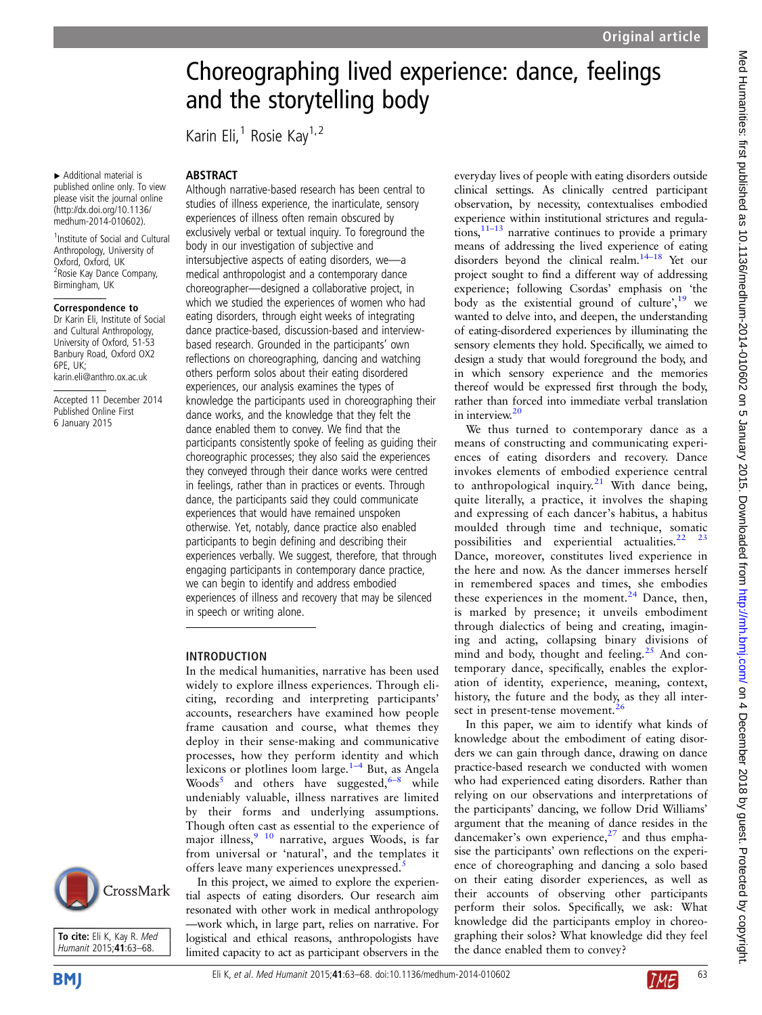## Choreographing lived experience: dance, feelings and the storytelling body

Karin Eli,<sup>1</sup> Rosie Kay<sup>1,2</sup>

in speech or writing alone.

In the medical humanities, narrative has been used widely to explore illness experiences. Through eliciting, recording and interpreting participants' accounts, researchers have examined how people frame causation and course, what themes they deploy in their sense-making and communicative processes, how they perform identity and which lexicons or plotlines loom large. $1-4$  $1-4$  But, as Angela Woods<sup>[5](#page-5-0)</sup> and others have suggested,  $6-8$  $6-8$  while undeniably valuable, illness narratives are limited by their forms and underlying assumptions. Though often cast as essential to the experience of major illness,<sup>9</sup><sup>10</sup> narrative, argues Woods, is far from universal or 'natural', and the templates it offers leave many experiences unexpressed.<sup>[5](#page-5-0)</sup>

In this project, we aimed to explore the experiential aspects of eating disorders. Our research aim resonated with other work in medical anthropology —work which, in large part, relies on narrative. For logistical and ethical reasons, anthropologists have limited capacity to act as participant observers in the

INTRODUCTION

Although narrative-based research has been central to studies of illness experience, the inarticulate, sensory experiences of illness often remain obscured by exclusively verbal or textual inquiry. To foreground the

body in our investigation of subjective and intersubjective aspects of eating disorders, we—a medical anthropologist and a contemporary dance choreographer—designed a collaborative project, in which we studied the experiences of women who had eating disorders, through eight weeks of integrating dance practice-based, discussion-based and interviewbased research. Grounded in the participants' own reflections on choreographing, dancing and watching others perform solos about their eating disordered experiences, our analysis examines the types of knowledge the participants used in choreographing their dance works, and the knowledge that they felt the dance enabled them to convey. We find that the participants consistently spoke of feeling as guiding their choreographic processes; they also said the experiences they conveyed through their dance works were centred in feelings, rather than in practices or events. Through dance, the participants said they could communicate experiences that would have remained unspoken otherwise. Yet, notably, dance practice also enabled participants to begin defining and describing their experiences verbally. We suggest, therefore, that through engaging participants in contemporary dance practice, we can begin to identify and address embodied experiences of illness and recovery that may be silenced

ABSTRACT

#### ▸ Additional material is published online only. To view please visit the journal online [\(http://dx.doi.org/10.1136/](http://dx.doi.org/10.1136/medhum-2014-010602) [medhum-2014-010602\)](http://dx.doi.org/10.1136/medhum-2014-010602).

1 Institute of Social and Cultural Anthropology, University of Oxford, Oxford, UK 2 Rosie Kay Dance Company, Birmingham, UK

#### Correspondence to

Dr Karin Eli, Institute of Social and Cultural Anthropology, University of Oxford, 51-53 Banbury Road, Oxford OX2 6PE, UK; karin.eli@anthro.ox.ac.uk

Accepted 11 December 2014 Published Online First 6 January 2015

# CrossMark

To cite: Eli K, Kay R. Med Humanit 2015;41:63–68.





everyday lives of people with eating disorders outside clinical settings. As clinically centred participant observation, by necessity, contextualises embodied experience within institutional strictures and regula $tions$ <sup>[11](#page-5-0)–13</sup> narrative continues to provide a primary means of addressing the lived experience of eating disorders beyond the clinical realm[.14](#page-5-0)–<sup>18</sup> Yet our project sought to find a different way of addressing experience; following Csordas' emphasis on 'the body as the existential ground of culture', [19](#page-5-0) we wanted to delve into, and deepen, the understanding of eating-disordered experiences by illuminating the sensory elements they hold. Specifically, we aimed to design a study that would foreground the body, and in which sensory experience and the memories thereof would be expressed first through the body, rather than forced into immediate verbal translation in interview.<sup>[20](#page-5-0)</sup> We thus turned to contemporary dance as a means of constructing and communicating experi-

ences of eating disorders and recovery. Dance invokes elements of embodied experience central to anthropological inquiry.<sup>[21](#page-5-0)</sup> With dance being, quite literally, a practice, it involves the shaping and expressing of each dancer's habitus, a habitus moulded through time and technique, somatic possibilities and experiential actualities.<sup>22</sup> <sup>23</sup> Dance, moreover, constitutes lived experience in the here and now. As the dancer immerses herself in remembered spaces and times, she embodies these experiences in the moment. $^{24}$  $^{24}$  $^{24}$  Dance, then, is marked by presence; it unveils embodiment through dialectics of being and creating, imagining and acting, collapsing binary divisions of mind and body, thought and feeling.<sup>[25](#page-5-0)</sup> And contemporary dance, specifically, enables the exploration of identity, experience, meaning, context, history, the future and the body, as they all intersect in present-tense movement.<sup>2</sup>

In this paper, we aim to identify what kinds of knowledge about the embodiment of eating disorders we can gain through dance, drawing on dance practice-based research we conducted with women who had experienced eating disorders. Rather than relying on our observations and interpretations of the participants' dancing, we follow Drid Williams' argument that the meaning of dance resides in the dancemaker's own experience, $27$  and thus emphasise the participants' own reflections on the experience of choreographing and dancing a solo based on their eating disorder experiences, as well as their accounts of observing other participants perform their solos. Specifically, we ask: What knowledge did the participants employ in choreographing their solos? What knowledge did they feel the dance enabled them to convey?



$$
\overline{I\mathcal{M}}
$$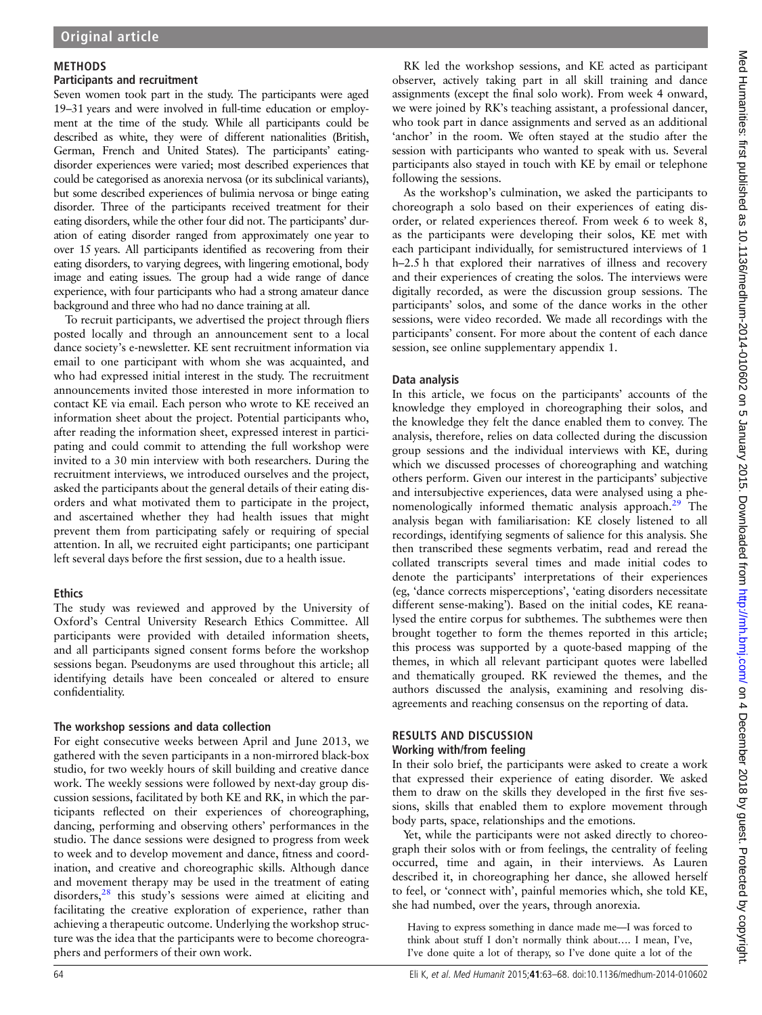## METHODS

## Participants and recruitment

Seven women took part in the study. The participants were aged 19–31 years and were involved in full-time education or employment at the time of the study. While all participants could be described as white, they were of different nationalities (British, German, French and United States). The participants' eatingdisorder experiences were varied; most described experiences that could be categorised as anorexia nervosa (or its subclinical variants), but some described experiences of bulimia nervosa or binge eating disorder. Three of the participants received treatment for their eating disorders, while the other four did not. The participants' duration of eating disorder ranged from approximately one year to over 15 years. All participants identified as recovering from their eating disorders, to varying degrees, with lingering emotional, body image and eating issues. The group had a wide range of dance experience, with four participants who had a strong amateur dance background and three who had no dance training at all.

To recruit participants, we advertised the project through fliers posted locally and through an announcement sent to a local dance society's e-newsletter. KE sent recruitment information via email to one participant with whom she was acquainted, and who had expressed initial interest in the study. The recruitment announcements invited those interested in more information to contact KE via email. Each person who wrote to KE received an information sheet about the project. Potential participants who, after reading the information sheet, expressed interest in participating and could commit to attending the full workshop were invited to a 30 min interview with both researchers. During the recruitment interviews, we introduced ourselves and the project, asked the participants about the general details of their eating disorders and what motivated them to participate in the project, and ascertained whether they had health issues that might prevent them from participating safely or requiring of special attention. In all, we recruited eight participants; one participant left several days before the first session, due to a health issue.

## **Ethics**

The study was reviewed and approved by the University of Oxford's Central University Research Ethics Committee. All participants were provided with detailed information sheets, and all participants signed consent forms before the workshop sessions began. Pseudonyms are used throughout this article; all identifying details have been concealed or altered to ensure confidentiality.

## The workshop sessions and data collection

For eight consecutive weeks between April and June 2013, we gathered with the seven participants in a non-mirrored black-box studio, for two weekly hours of skill building and creative dance work. The weekly sessions were followed by next-day group discussion sessions, facilitated by both KE and RK, in which the participants reflected on their experiences of choreographing, dancing, performing and observing others' performances in the studio. The dance sessions were designed to progress from week to week and to develop movement and dance, fitness and coordination, and creative and choreographic skills. Although dance and movement therapy may be used in the treatment of eating disorders,<sup>28</sup> this study's sessions were aimed at eliciting and facilitating the creative exploration of experience, rather than achieving a therapeutic outcome. Underlying the workshop structure was the idea that the participants were to become choreographers and performers of their own work.

As the workshop's culmination, we asked the participants to choreograph a solo based on their experiences of eating disorder, or related experiences thereof. From week 6 to week 8, as the participants were developing their solos, KE met with each participant individually, for semistructured interviews of 1 h–2.5 h that explored their narratives of illness and recovery and their experiences of creating the solos. The interviews were digitally recorded, as were the discussion group sessions. The participants' solos, and some of the dance works in the other sessions, were video recorded. We made all recordings with the participants' consent. For more about the content of each dance session, see online supplementary appendix 1.

## Data analysis

In this article, we focus on the participants' accounts of the knowledge they employed in choreographing their solos, and the knowledge they felt the dance enabled them to convey. The analysis, therefore, relies on data collected during the discussion group sessions and the individual interviews with KE, during which we discussed processes of choreographing and watching others perform. Given our interest in the participants' subjective and intersubjective experiences, data were analysed using a phe-nomenologically informed thematic analysis approach.<sup>[29](#page-5-0)</sup> The analysis began with familiarisation: KE closely listened to all recordings, identifying segments of salience for this analysis. She then transcribed these segments verbatim, read and reread the collated transcripts several times and made initial codes to denote the participants' interpretations of their experiences (eg, 'dance corrects misperceptions', 'eating disorders necessitate different sense-making'). Based on the initial codes, KE reanalysed the entire corpus for subthemes. The subthemes were then brought together to form the themes reported in this article; this process was supported by a quote-based mapping of the themes, in which all relevant participant quotes were labelled and thematically grouped. RK reviewed the themes, and the authors discussed the analysis, examining and resolving disagreements and reaching consensus on the reporting of data.

## RESULTS AND DISCUSSION

## Working with/from feeling

In their solo brief, the participants were asked to create a work that expressed their experience of eating disorder. We asked them to draw on the skills they developed in the first five sessions, skills that enabled them to explore movement through body parts, space, relationships and the emotions.

Yet, while the participants were not asked directly to choreograph their solos with or from feelings, the centrality of feeling occurred, time and again, in their interviews. As Lauren described it, in choreographing her dance, she allowed herself to feel, or 'connect with', painful memories which, she told KE, she had numbed, over the years, through anorexia.

Having to express something in dance made me—I was forced to think about stuff I don't normally think about…. I mean, I've, I've done quite a lot of therapy, so I've done quite a lot of the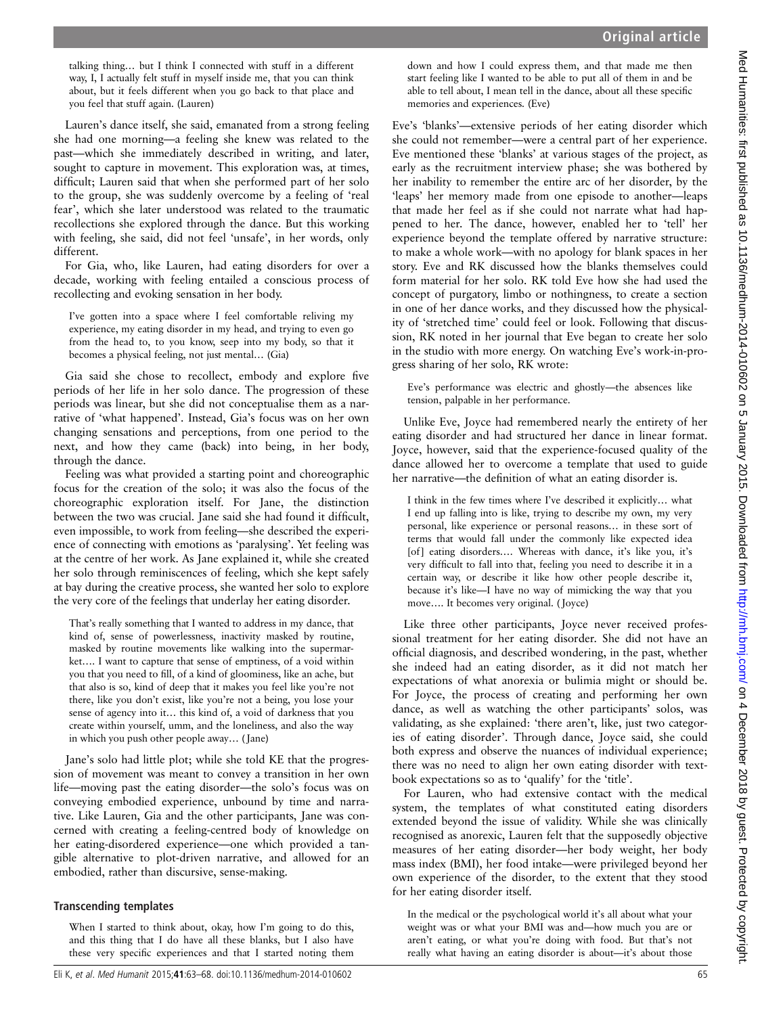talking thing… but I think I connected with stuff in a different way, I, I actually felt stuff in myself inside me, that you can think about, but it feels different when you go back to that place and you feel that stuff again. (Lauren)

Lauren's dance itself, she said, emanated from a strong feeling she had one morning—a feeling she knew was related to the past—which she immediately described in writing, and later, sought to capture in movement. This exploration was, at times, difficult; Lauren said that when she performed part of her solo to the group, she was suddenly overcome by a feeling of 'real fear', which she later understood was related to the traumatic recollections she explored through the dance. But this working with feeling, she said, did not feel 'unsafe', in her words, only different.

For Gia, who, like Lauren, had eating disorders for over a decade, working with feeling entailed a conscious process of recollecting and evoking sensation in her body.

I've gotten into a space where I feel comfortable reliving my experience, my eating disorder in my head, and trying to even go from the head to, to you know, seep into my body, so that it becomes a physical feeling, not just mental… (Gia)

Gia said she chose to recollect, embody and explore five periods of her life in her solo dance. The progression of these periods was linear, but she did not conceptualise them as a narrative of 'what happened'. Instead, Gia's focus was on her own changing sensations and perceptions, from one period to the next, and how they came (back) into being, in her body, through the dance.

Feeling was what provided a starting point and choreographic focus for the creation of the solo; it was also the focus of the choreographic exploration itself. For Jane, the distinction between the two was crucial. Jane said she had found it difficult, even impossible, to work from feeling—she described the experience of connecting with emotions as 'paralysing'. Yet feeling was at the centre of her work. As Jane explained it, while she created her solo through reminiscences of feeling, which she kept safely at bay during the creative process, she wanted her solo to explore the very core of the feelings that underlay her eating disorder.

That's really something that I wanted to address in my dance, that kind of, sense of powerlessness, inactivity masked by routine, masked by routine movements like walking into the supermarket…. I want to capture that sense of emptiness, of a void within you that you need to fill, of a kind of gloominess, like an ache, but that also is so, kind of deep that it makes you feel like you're not there, like you don't exist, like you're not a being, you lose your sense of agency into it… this kind of, a void of darkness that you create within yourself, umm, and the loneliness, and also the way in which you push other people away… ( Jane)

Jane's solo had little plot; while she told KE that the progression of movement was meant to convey a transition in her own life—moving past the eating disorder—the solo's focus was on conveying embodied experience, unbound by time and narrative. Like Lauren, Gia and the other participants, Jane was concerned with creating a feeling-centred body of knowledge on her eating-disordered experience—one which provided a tangible alternative to plot-driven narrative, and allowed for an embodied, rather than discursive, sense-making.

## Transcending templates

When I started to think about, okay, how I'm going to do this, and this thing that I do have all these blanks, but I also have these very specific experiences and that I started noting them

down and how I could express them, and that made me then start feeling like I wanted to be able to put all of them in and be able to tell about, I mean tell in the dance, about all these specific memories and experiences. (Eve)

Eve's 'blanks'—extensive periods of her eating disorder which she could not remember—were a central part of her experience. Eve mentioned these 'blanks' at various stages of the project, as early as the recruitment interview phase; she was bothered by her inability to remember the entire arc of her disorder, by the 'leaps' her memory made from one episode to another—leaps that made her feel as if she could not narrate what had happened to her. The dance, however, enabled her to 'tell' her experience beyond the template offered by narrative structure: to make a whole work—with no apology for blank spaces in her story. Eve and RK discussed how the blanks themselves could form material for her solo. RK told Eve how she had used the concept of purgatory, limbo or nothingness, to create a section in one of her dance works, and they discussed how the physicality of 'stretched time' could feel or look. Following that discussion, RK noted in her journal that Eve began to create her solo in the studio with more energy. On watching Eve's work-in-progress sharing of her solo, RK wrote:

Eve's performance was electric and ghostly—the absences like tension, palpable in her performance.

Unlike Eve, Joyce had remembered nearly the entirety of her eating disorder and had structured her dance in linear format. Joyce, however, said that the experience-focused quality of the dance allowed her to overcome a template that used to guide her narrative—the definition of what an eating disorder is.

I think in the few times where I've described it explicitly… what I end up falling into is like, trying to describe my own, my very personal, like experience or personal reasons… in these sort of terms that would fall under the commonly like expected idea [of] eating disorders.... Whereas with dance, it's like you, it's very difficult to fall into that, feeling you need to describe it in a certain way, or describe it like how other people describe it, because it's like—I have no way of mimicking the way that you move…. It becomes very original. ( Joyce)

Like three other participants, Joyce never received professional treatment for her eating disorder. She did not have an official diagnosis, and described wondering, in the past, whether she indeed had an eating disorder, as it did not match her expectations of what anorexia or bulimia might or should be. For Joyce, the process of creating and performing her own dance, as well as watching the other participants' solos, was validating, as she explained: 'there aren't, like, just two categories of eating disorder'. Through dance, Joyce said, she could both express and observe the nuances of individual experience; there was no need to align her own eating disorder with textbook expectations so as to 'qualify' for the 'title'.

For Lauren, who had extensive contact with the medical system, the templates of what constituted eating disorders extended beyond the issue of validity. While she was clinically recognised as anorexic, Lauren felt that the supposedly objective measures of her eating disorder—her body weight, her body mass index (BMI), her food intake—were privileged beyond her own experience of the disorder, to the extent that they stood for her eating disorder itself.

In the medical or the psychological world it's all about what your weight was or what your BMI was and—how much you are or aren't eating, or what you're doing with food. But that's not really what having an eating disorder is about—it's about those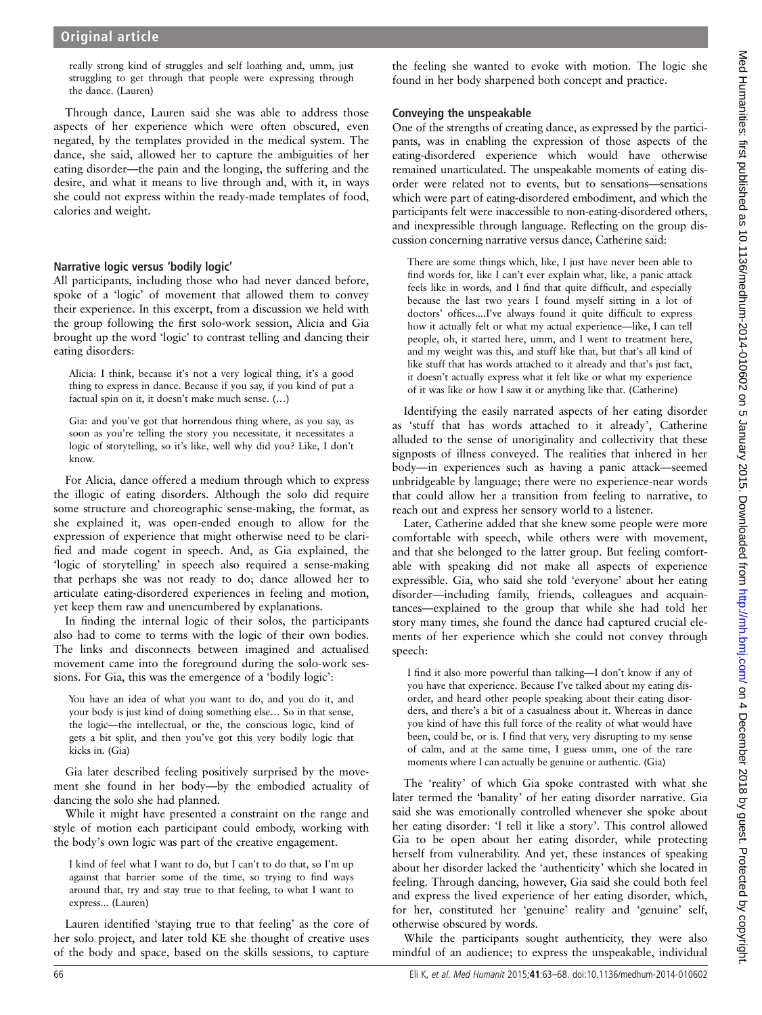really strong kind of struggles and self loathing and, umm, just struggling to get through that people were expressing through the dance. (Lauren)

Through dance, Lauren said she was able to address those aspects of her experience which were often obscured, even negated, by the templates provided in the medical system. The dance, she said, allowed her to capture the ambiguities of her eating disorder—the pain and the longing, the suffering and the desire, and what it means to live through and, with it, in ways she could not express within the ready-made templates of food, calories and weight.

## Narrative logic versus 'bodily logic'

All participants, including those who had never danced before, spoke of a 'logic' of movement that allowed them to convey their experience. In this excerpt, from a discussion we held with the group following the first solo-work session, Alicia and Gia brought up the word 'logic' to contrast telling and dancing their eating disorders:

Alicia: I think, because it's not a very logical thing, it's a good thing to express in dance. Because if you say, if you kind of put a factual spin on it, it doesn't make much sense. (…)

Gia: and you've got that horrendous thing where, as you say, as soon as you're telling the story you necessitate, it necessitates a logic of storytelling, so it's like, well why did you? Like, I don't know.

For Alicia, dance offered a medium through which to express the illogic of eating disorders. Although the solo did require some structure and choreographic sense-making, the format, as she explained it, was open-ended enough to allow for the expression of experience that might otherwise need to be clarified and made cogent in speech. And, as Gia explained, the 'logic of storytelling' in speech also required a sense-making that perhaps she was not ready to do; dance allowed her to articulate eating-disordered experiences in feeling and motion, yet keep them raw and unencumbered by explanations.

In finding the internal logic of their solos, the participants also had to come to terms with the logic of their own bodies. The links and disconnects between imagined and actualised movement came into the foreground during the solo-work sessions. For Gia, this was the emergence of a 'bodily logic':

You have an idea of what you want to do, and you do it, and your body is just kind of doing something else… So in that sense, the logic—the intellectual, or the, the conscious logic, kind of gets a bit split, and then you've got this very bodily logic that kicks in. (Gia)

Gia later described feeling positively surprised by the movement she found in her body—by the embodied actuality of dancing the solo she had planned.

While it might have presented a constraint on the range and style of motion each participant could embody, working with the body's own logic was part of the creative engagement.

I kind of feel what I want to do, but I can't to do that, so I'm up against that barrier some of the time, so trying to find ways around that, try and stay true to that feeling, to what I want to express... (Lauren)

Lauren identified 'staying true to that feeling' as the core of her solo project, and later told KE she thought of creative uses of the body and space, based on the skills sessions, to capture

the feeling she wanted to evoke with motion. The logic she found in her body sharpened both concept and practice.

## Conveying the unspeakable

One of the strengths of creating dance, as expressed by the participants, was in enabling the expression of those aspects of the eating-disordered experience which would have otherwise remained unarticulated. The unspeakable moments of eating disorder were related not to events, but to sensations—sensations which were part of eating-disordered embodiment, and which the participants felt were inaccessible to non-eating-disordered others, and inexpressible through language. Reflecting on the group discussion concerning narrative versus dance, Catherine said:

There are some things which, like, I just have never been able to find words for, like I can't ever explain what, like, a panic attack feels like in words, and I find that quite difficult, and especially because the last two years I found myself sitting in a lot of doctors' offices....I've always found it quite difficult to express how it actually felt or what my actual experience—like, I can tell people, oh, it started here, umm, and I went to treatment here, and my weight was this, and stuff like that, but that's all kind of like stuff that has words attached to it already and that's just fact, it doesn't actually express what it felt like or what my experience of it was like or how I saw it or anything like that. (Catherine)

Identifying the easily narrated aspects of her eating disorder as 'stuff that has words attached to it already', Catherine alluded to the sense of unoriginality and collectivity that these signposts of illness conveyed. The realities that inhered in her body—in experiences such as having a panic attack—seemed unbridgeable by language; there were no experience-near words that could allow her a transition from feeling to narrative, to reach out and express her sensory world to a listener.

Later, Catherine added that she knew some people were more comfortable with speech, while others were with movement, and that she belonged to the latter group. But feeling comfortable with speaking did not make all aspects of experience expressible. Gia, who said she told 'everyone' about her eating disorder—including family, friends, colleagues and acquaintances—explained to the group that while she had told her story many times, she found the dance had captured crucial elements of her experience which she could not convey through speech:

I find it also more powerful than talking—I don't know if any of you have that experience. Because I've talked about my eating disorder, and heard other people speaking about their eating disorders, and there's a bit of a casualness about it. Whereas in dance you kind of have this full force of the reality of what would have been, could be, or is. I find that very, very disrupting to my sense of calm, and at the same time, I guess umm, one of the rare moments where I can actually be genuine or authentic. (Gia)

The 'reality' of which Gia spoke contrasted with what she later termed the 'banality' of her eating disorder narrative. Gia said she was emotionally controlled whenever she spoke about her eating disorder: 'I tell it like a story'. This control allowed Gia to be open about her eating disorder, while protecting herself from vulnerability. And yet, these instances of speaking about her disorder lacked the 'authenticity' which she located in feeling. Through dancing, however, Gia said she could both feel and express the lived experience of her eating disorder, which, for her, constituted her 'genuine' reality and 'genuine' self, otherwise obscured by words.

While the participants sought authenticity, they were also mindful of an audience; to express the unspeakable, individual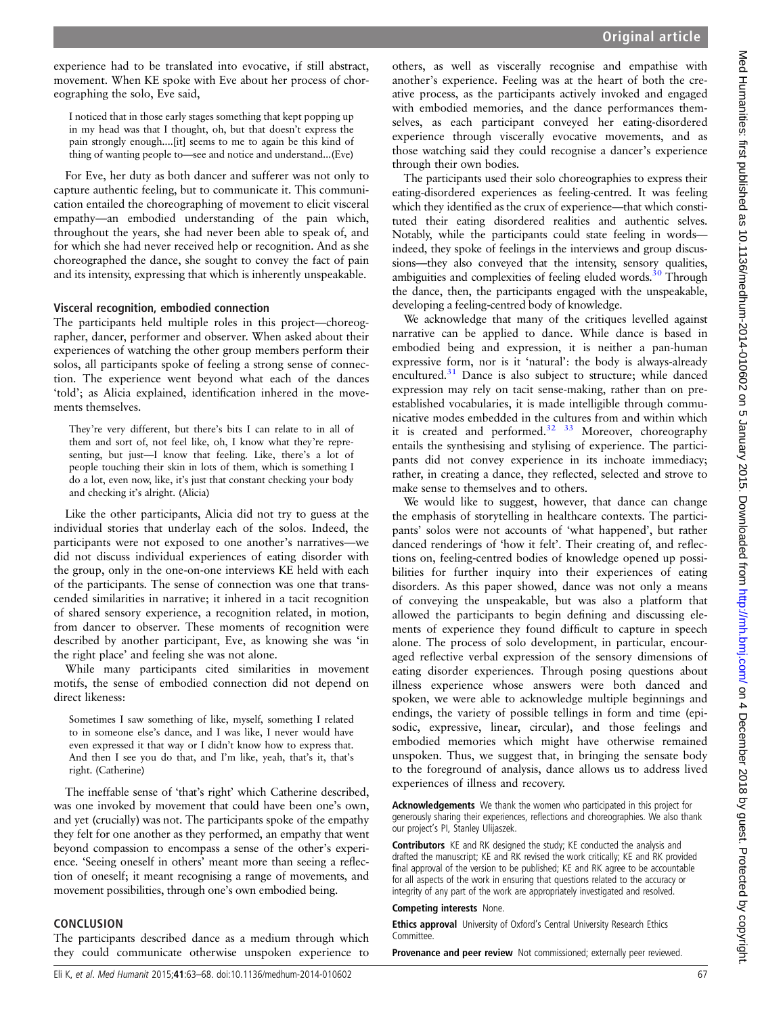experience had to be translated into evocative, if still abstract, movement. When KE spoke with Eve about her process of choreographing the solo, Eve said,

I noticed that in those early stages something that kept popping up in my head was that I thought, oh, but that doesn't express the pain strongly enough....[it] seems to me to again be this kind of thing of wanting people to—see and notice and understand...(Eve)

For Eve, her duty as both dancer and sufferer was not only to capture authentic feeling, but to communicate it. This communication entailed the choreographing of movement to elicit visceral empathy—an embodied understanding of the pain which, throughout the years, she had never been able to speak of, and for which she had never received help or recognition. And as she choreographed the dance, she sought to convey the fact of pain and its intensity, expressing that which is inherently unspeakable.

## Visceral recognition, embodied connection

The participants held multiple roles in this project—choreographer, dancer, performer and observer. When asked about their experiences of watching the other group members perform their solos, all participants spoke of feeling a strong sense of connection. The experience went beyond what each of the dances 'told'; as Alicia explained, identification inhered in the movements themselves.

They're very different, but there's bits I can relate to in all of them and sort of, not feel like, oh, I know what they're representing, but just—I know that feeling. Like, there's a lot of people touching their skin in lots of them, which is something I do a lot, even now, like, it's just that constant checking your body and checking it's alright. (Alicia)

Like the other participants, Alicia did not try to guess at the individual stories that underlay each of the solos. Indeed, the participants were not exposed to one another's narratives—we did not discuss individual experiences of eating disorder with the group, only in the one-on-one interviews KE held with each of the participants. The sense of connection was one that transcended similarities in narrative; it inhered in a tacit recognition of shared sensory experience, a recognition related, in motion, from dancer to observer. These moments of recognition were described by another participant, Eve, as knowing she was 'in the right place' and feeling she was not alone.

While many participants cited similarities in movement motifs, the sense of embodied connection did not depend on direct likeness:

Sometimes I saw something of like, myself, something I related to in someone else's dance, and I was like, I never would have even expressed it that way or I didn't know how to express that. And then I see you do that, and I'm like, yeah, that's it, that's right. (Catherine)

The ineffable sense of 'that's right' which Catherine described, was one invoked by movement that could have been one's own, and yet (crucially) was not. The participants spoke of the empathy they felt for one another as they performed, an empathy that went beyond compassion to encompass a sense of the other's experience. 'Seeing oneself in others' meant more than seeing a reflection of oneself; it meant recognising a range of movements, and movement possibilities, through one's own embodied being.

## **CONCLUSION**

The participants described dance as a medium through which they could communicate otherwise unspoken experience to

others, as well as viscerally recognise and empathise with another's experience. Feeling was at the heart of both the creative process, as the participants actively invoked and engaged with embodied memories, and the dance performances themselves, as each participant conveyed her eating-disordered experience through viscerally evocative movements, and as those watching said they could recognise a dancer's experience through their own bodies.

The participants used their solo choreographies to express their eating-disordered experiences as feeling-centred. It was feeling which they identified as the crux of experience—that which constituted their eating disordered realities and authentic selves. Notably, while the participants could state feeling in words indeed, they spoke of feelings in the interviews and group discussions—they also conveyed that the intensity, sensory qualities, ambiguities and complexities of feeling eluded words. $30$  Through the dance, then, the participants engaged with the unspeakable, developing a feeling-centred body of knowledge.

We acknowledge that many of the critiques levelled against narrative can be applied to dance. While dance is based in embodied being and expression, it is neither a pan-human expressive form, nor is it 'natural': the body is always-already encultured.<sup>[31](#page-5-0)</sup> Dance is also subject to structure; while danced expression may rely on tacit sense-making, rather than on preestablished vocabularies, it is made intelligible through communicative modes embedded in the cultures from and within which it is created and performed. $32$   $33$  Moreover, choreography entails the synthesising and stylising of experience. The participants did not convey experience in its inchoate immediacy; rather, in creating a dance, they reflected, selected and strove to make sense to themselves and to others.

We would like to suggest, however, that dance can change the emphasis of storytelling in healthcare contexts. The participants' solos were not accounts of 'what happened', but rather danced renderings of 'how it felt'. Their creating of, and reflections on, feeling-centred bodies of knowledge opened up possibilities for further inquiry into their experiences of eating disorders. As this paper showed, dance was not only a means of conveying the unspeakable, but was also a platform that allowed the participants to begin defining and discussing elements of experience they found difficult to capture in speech alone. The process of solo development, in particular, encouraged reflective verbal expression of the sensory dimensions of eating disorder experiences. Through posing questions about illness experience whose answers were both danced and spoken, we were able to acknowledge multiple beginnings and endings, the variety of possible tellings in form and time (episodic, expressive, linear, circular), and those feelings and embodied memories which might have otherwise remained unspoken. Thus, we suggest that, in bringing the sensate body to the foreground of analysis, dance allows us to address lived experiences of illness and recovery.

Acknowledgements We thank the women who participated in this project for generously sharing their experiences, reflections and choreographies. We also thank our project's PI, Stanley Ulijaszek.

Contributors KE and RK designed the study; KE conducted the analysis and drafted the manuscript; KE and RK revised the work critically; KE and RK provided final approval of the version to be published; KE and RK agree to be accountable for all aspects of the work in ensuring that questions related to the accuracy or integrity of any part of the work are appropriately investigated and resolved.

## Competing interests None.

**Ethics approval** University of Oxford's Central University Research Ethics **Committee** 

**Provenance and peer review** Not commissioned; externally peer reviewed.